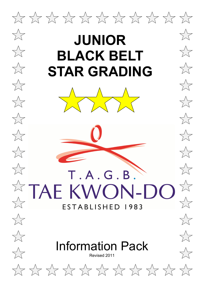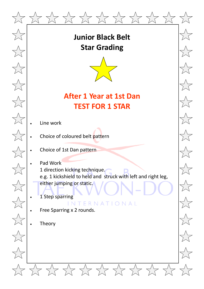![](_page_1_Picture_0.jpeg)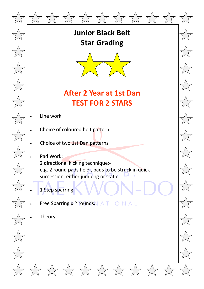![](_page_2_Picture_0.jpeg)